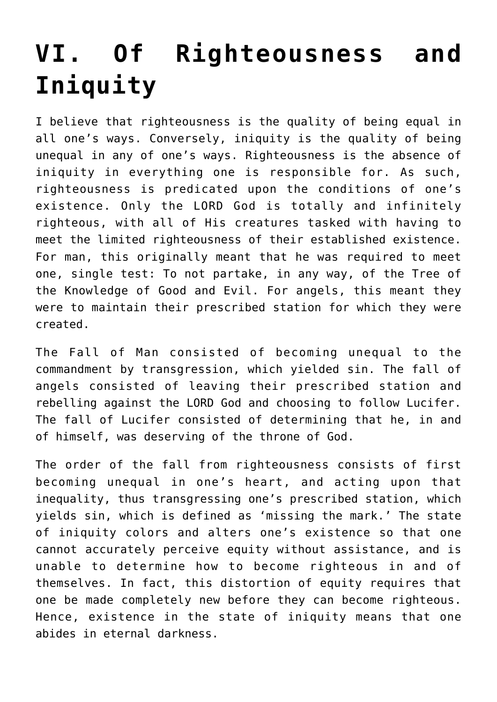## **[VI. Of Righteousness and](https://reproachofmen.org/statement-of-faith/vi-of-righteousness-and-iniquity/) [Iniquity](https://reproachofmen.org/statement-of-faith/vi-of-righteousness-and-iniquity/)**

I believe that righteousness is the quality of being equal in all one's ways. Conversely, iniquity is the quality of being unequal in any of one's ways. Righteousness is the absence of iniquity in everything one is responsible for. As such, righteousness is predicated upon the conditions of one's existence. Only the LORD God is totally and infinitely righteous, with all of His creatures tasked with having to meet the limited righteousness of their established existence. For man, this originally meant that he was required to meet one, single test: To not partake, in any way, of the Tree of the Knowledge of Good and Evil. For angels, this meant they were to maintain their prescribed station for which they were created.

The Fall of Man consisted of becoming unequal to the commandment by transgression, which yielded sin. The fall of angels consisted of leaving their prescribed station and rebelling against the LORD God and choosing to follow Lucifer. The fall of Lucifer consisted of determining that he, in and of himself, was deserving of the throne of God.

The order of the fall from righteousness consists of first becoming unequal in one's heart, and acting upon that inequality, thus transgressing one's prescribed station, which yields sin, which is defined as 'missing the mark.' The state of iniquity colors and alters one's existence so that one cannot accurately perceive equity without assistance, and is unable to determine how to become righteous in and of themselves. In fact, this distortion of equity requires that one be made completely new before they can become righteous. Hence, existence in the state of iniquity means that one abides in eternal darkness.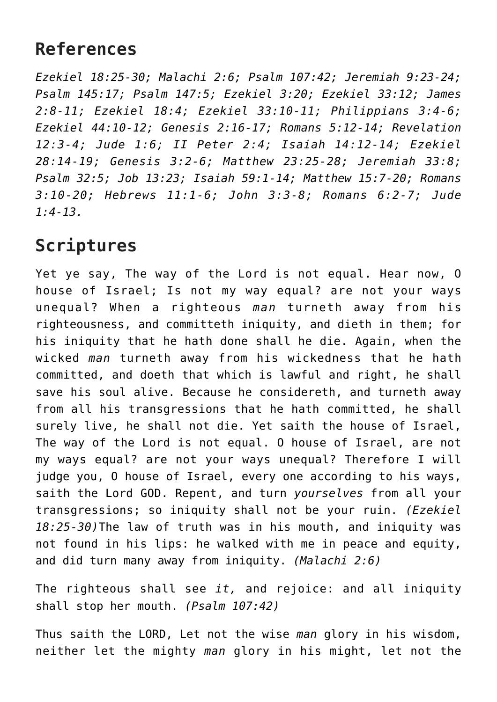## **References**

*Ezekiel 18:25-30; Malachi 2:6; Psalm 107:42; Jeremiah 9:23-24; Psalm 145:17; Psalm 147:5; Ezekiel 3:20; Ezekiel 33:12; James 2:8-11; Ezekiel 18:4; Ezekiel 33:10-11; Philippians 3:4-6; Ezekiel 44:10-12; Genesis 2:16-17; Romans 5:12-14; Revelation 12:3-4; Jude 1:6; II Peter 2:4; Isaiah 14:12-14; Ezekiel 28:14-19; Genesis 3:2-6; Matthew 23:25-28; Jeremiah 33:8; Psalm 32:5; Job 13:23; Isaiah 59:1-14; Matthew 15:7-20; Romans 3:10-20; Hebrews 11:1-6; John 3:3-8; Romans 6:2-7; Jude 1:4-13.*

## **Scriptures**

Yet ye say, The way of the Lord is not equal. Hear now, O house of Israel; Is not my way equal? are not your ways unequal? When a righteous *man* turneth away from his righteousness, and committeth iniquity, and dieth in them; for his iniquity that he hath done shall he die. Again, when the wicked *man* turneth away from his wickedness that he hath committed, and doeth that which is lawful and right, he shall save his soul alive. Because he considereth, and turneth away from all his transgressions that he hath committed, he shall surely live, he shall not die. Yet saith the house of Israel, The way of the Lord is not equal. O house of Israel, are not my ways equal? are not your ways unequal? Therefore I will judge you, O house of Israel, every one according to his ways, saith the Lord GOD. Repent, and turn *yourselves* from all your transgressions; so iniquity shall not be your ruin. *(Ezekiel 18:25-30)*The law of truth was in his mouth, and iniquity was not found in his lips: he walked with me in peace and equity, and did turn many away from iniquity. *(Malachi 2:6)*

The righteous shall see *it,* and rejoice: and all iniquity shall stop her mouth. *(Psalm 107:42)*

Thus saith the LORD, Let not the wise *man* glory in his wisdom, neither let the mighty *man* glory in his might, let not the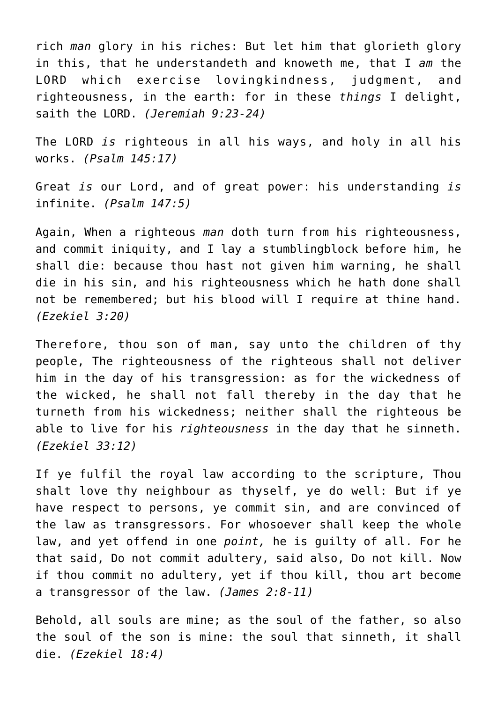rich *man* glory in his riches: But let him that glorieth glory in this, that he understandeth and knoweth me, that I *am* the LORD which exercise lovingkindness, judgment, and righteousness, in the earth: for in these *things* I delight, saith the LORD. *(Jeremiah 9:23-24)*

The LORD *is* righteous in all his ways, and holy in all his works. *(Psalm 145:17)*

Great *is* our Lord, and of great power: his understanding *is* infinite. *(Psalm 147:5)*

Again, When a righteous *man* doth turn from his righteousness, and commit iniquity, and I lay a stumblingblock before him, he shall die: because thou hast not given him warning, he shall die in his sin, and his righteousness which he hath done shall not be remembered; but his blood will I require at thine hand. *(Ezekiel 3:20)*

Therefore, thou son of man, say unto the children of thy people, The righteousness of the righteous shall not deliver him in the day of his transgression: as for the wickedness of the wicked, he shall not fall thereby in the day that he turneth from his wickedness; neither shall the righteous be able to live for his *righteousness* in the day that he sinneth. *(Ezekiel 33:12)*

If ye fulfil the royal law according to the scripture, Thou shalt love thy neighbour as thyself, ye do well: But if ye have respect to persons, ye commit sin, and are convinced of the law as transgressors. For whosoever shall keep the whole law, and yet offend in one *point,* he is guilty of all. For he that said, Do not commit adultery, said also, Do not kill. Now if thou commit no adultery, yet if thou kill, thou art become a transgressor of the law. *(James 2:8-11)*

Behold, all souls are mine; as the soul of the father, so also the soul of the son is mine: the soul that sinneth, it shall die. *(Ezekiel 18:4)*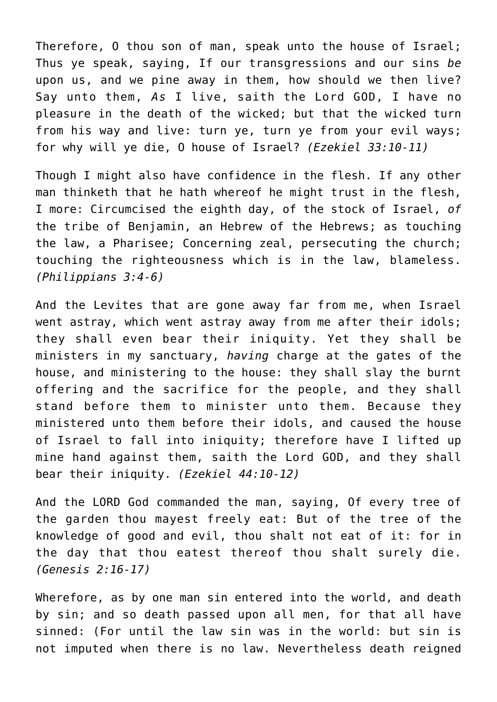Therefore, O thou son of man, speak unto the house of Israel; Thus ye speak, saying, If our transgressions and our sins *be* upon us, and we pine away in them, how should we then live? Say unto them, *As* I live, saith the Lord GOD, I have no pleasure in the death of the wicked; but that the wicked turn from his way and live: turn ye, turn ye from your evil ways; for why will ye die, O house of Israel? *(Ezekiel 33:10-11)*

Though I might also have confidence in the flesh. If any other man thinketh that he hath whereof he might trust in the flesh, I more: Circumcised the eighth day, of the stock of Israel, *of* the tribe of Benjamin, an Hebrew of the Hebrews; as touching the law, a Pharisee; Concerning zeal, persecuting the church; touching the righteousness which is in the law, blameless. *(Philippians 3:4-6)*

And the Levites that are gone away far from me, when Israel went astray, which went astray away from me after their idols; they shall even bear their iniquity. Yet they shall be ministers in my sanctuary, *having* charge at the gates of the house, and ministering to the house: they shall slay the burnt offering and the sacrifice for the people, and they shall stand before them to minister unto them. Because they ministered unto them before their idols, and caused the house of Israel to fall into iniquity; therefore have I lifted up mine hand against them, saith the Lord GOD, and they shall bear their iniquity. *(Ezekiel 44:10-12)*

And the LORD God commanded the man, saying, Of every tree of the garden thou mayest freely eat: But of the tree of the knowledge of good and evil, thou shalt not eat of it: for in the day that thou eatest thereof thou shalt surely die. *(Genesis 2:16-17)*

Wherefore, as by one man sin entered into the world, and death by sin; and so death passed upon all men, for that all have sinned: (For until the law sin was in the world: but sin is not imputed when there is no law. Nevertheless death reigned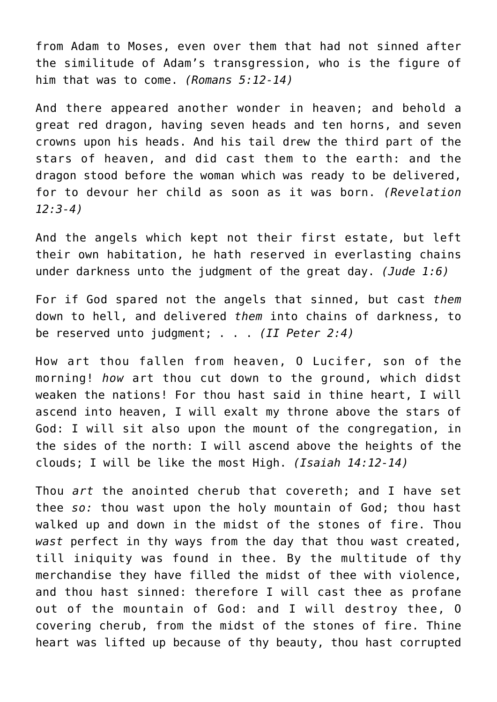from Adam to Moses, even over them that had not sinned after the similitude of Adam's transgression, who is the figure of him that was to come. *(Romans 5:12-14)*

And there appeared another wonder in heaven; and behold a great red dragon, having seven heads and ten horns, and seven crowns upon his heads. And his tail drew the third part of the stars of heaven, and did cast them to the earth: and the dragon stood before the woman which was ready to be delivered, for to devour her child as soon as it was born. *(Revelation 12:3-4)*

And the angels which kept not their first estate, but left their own habitation, he hath reserved in everlasting chains under darkness unto the judgment of the great day. *(Jude 1:6)*

For if God spared not the angels that sinned, but cast *them* down to hell, and delivered *them* into chains of darkness, to be reserved unto judgment; . . . *(II Peter 2:4)*

How art thou fallen from heaven, O Lucifer, son of the morning! *how* art thou cut down to the ground, which didst weaken the nations! For thou hast said in thine heart, I will ascend into heaven, I will exalt my throne above the stars of God: I will sit also upon the mount of the congregation, in the sides of the north: I will ascend above the heights of the clouds; I will be like the most High. *(Isaiah 14:12-14)*

Thou *art* the anointed cherub that covereth; and I have set thee *so:* thou wast upon the holy mountain of God; thou hast walked up and down in the midst of the stones of fire. Thou *wast* perfect in thy ways from the day that thou wast created, till iniquity was found in thee. By the multitude of thy merchandise they have filled the midst of thee with violence, and thou hast sinned: therefore I will cast thee as profane out of the mountain of God: and I will destroy thee, O covering cherub, from the midst of the stones of fire. Thine heart was lifted up because of thy beauty, thou hast corrupted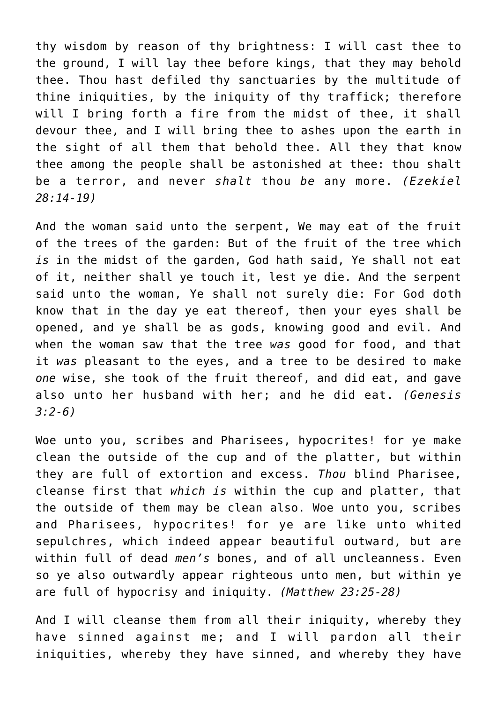thy wisdom by reason of thy brightness: I will cast thee to the ground, I will lay thee before kings, that they may behold thee. Thou hast defiled thy sanctuaries by the multitude of thine iniquities, by the iniquity of thy traffick; therefore will I bring forth a fire from the midst of thee, it shall devour thee, and I will bring thee to ashes upon the earth in the sight of all them that behold thee. All they that know thee among the people shall be astonished at thee: thou shalt be a terror, and never *shalt* thou *be* any more. *(Ezekiel 28:14-19)*

And the woman said unto the serpent, We may eat of the fruit of the trees of the garden: But of the fruit of the tree which *is* in the midst of the garden, God hath said, Ye shall not eat of it, neither shall ye touch it, lest ye die. And the serpent said unto the woman, Ye shall not surely die: For God doth know that in the day ye eat thereof, then your eyes shall be opened, and ye shall be as gods, knowing good and evil. And when the woman saw that the tree *was* good for food, and that it *was* pleasant to the eyes, and a tree to be desired to make *one* wise, she took of the fruit thereof, and did eat, and gave also unto her husband with her; and he did eat. *(Genesis 3:2-6)*

Woe unto you, scribes and Pharisees, hypocrites! for ye make clean the outside of the cup and of the platter, but within they are full of extortion and excess. *Thou* blind Pharisee, cleanse first that *which is* within the cup and platter, that the outside of them may be clean also. Woe unto you, scribes and Pharisees, hypocrites! for ye are like unto whited sepulchres, which indeed appear beautiful outward, but are within full of dead *men's* bones, and of all uncleanness. Even so ye also outwardly appear righteous unto men, but within ye are full of hypocrisy and iniquity. *(Matthew 23:25-28)*

And I will cleanse them from all their iniquity, whereby they have sinned against me; and I will pardon all their iniquities, whereby they have sinned, and whereby they have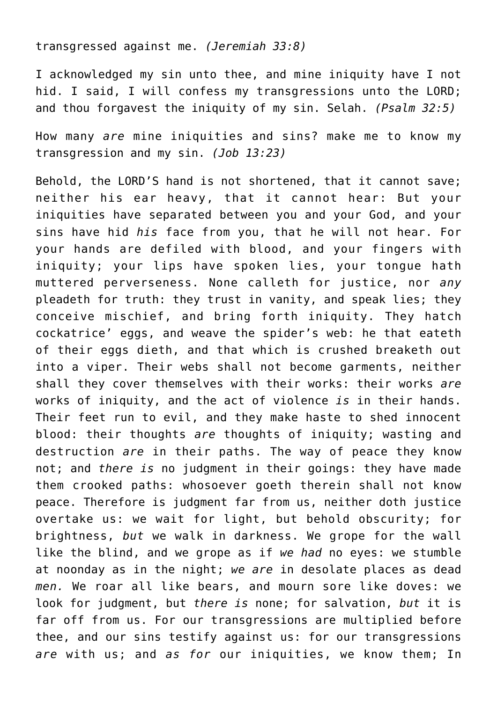transgressed against me. *(Jeremiah 33:8)*

I acknowledged my sin unto thee, and mine iniquity have I not hid. I said, I will confess my transgressions unto the LORD; and thou forgavest the iniquity of my sin. Selah. *(Psalm 32:5)*

How many *are* mine iniquities and sins? make me to know my transgression and my sin. *(Job 13:23)*

Behold, the LORD'S hand is not shortened, that it cannot save; neither his ear heavy, that it cannot hear: But your iniquities have separated between you and your God, and your sins have hid *his* face from you, that he will not hear. For your hands are defiled with blood, and your fingers with iniquity; your lips have spoken lies, your tongue hath muttered perverseness. None calleth for justice, nor *any* pleadeth for truth: they trust in vanity, and speak lies; they conceive mischief, and bring forth iniquity. They hatch cockatrice' eggs, and weave the spider's web: he that eateth of their eggs dieth, and that which is crushed breaketh out into a viper. Their webs shall not become garments, neither shall they cover themselves with their works: their works *are* works of iniquity, and the act of violence *is* in their hands. Their feet run to evil, and they make haste to shed innocent blood: their thoughts *are* thoughts of iniquity; wasting and destruction *are* in their paths. The way of peace they know not; and *there is* no judgment in their goings: they have made them crooked paths: whosoever goeth therein shall not know peace. Therefore is judgment far from us, neither doth justice overtake us: we wait for light, but behold obscurity; for brightness, *but* we walk in darkness. We grope for the wall like the blind, and we grope as if *we had* no eyes: we stumble at noonday as in the night; *we are* in desolate places as dead *men.* We roar all like bears, and mourn sore like doves: we look for judgment, but *there is* none; for salvation, *but* it is far off from us. For our transgressions are multiplied before thee, and our sins testify against us: for our transgressions *are* with us; and *as for* our iniquities, we know them; In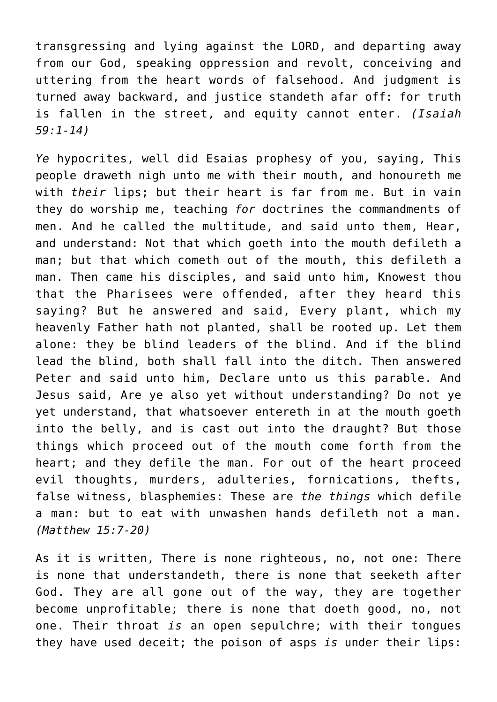transgressing and lying against the LORD, and departing away from our God, speaking oppression and revolt, conceiving and uttering from the heart words of falsehood. And judgment is turned away backward, and justice standeth afar off: for truth is fallen in the street, and equity cannot enter. *(Isaiah 59:1-14)*

*Ye* hypocrites, well did Esaias prophesy of you, saying, This people draweth nigh unto me with their mouth, and honoureth me with *their* lips; but their heart is far from me. But in vain they do worship me, teaching *for* doctrines the commandments of men. And he called the multitude, and said unto them, Hear, and understand: Not that which goeth into the mouth defileth a man; but that which cometh out of the mouth, this defileth a man. Then came his disciples, and said unto him, Knowest thou that the Pharisees were offended, after they heard this saying? But he answered and said, Every plant, which my heavenly Father hath not planted, shall be rooted up. Let them alone: they be blind leaders of the blind. And if the blind lead the blind, both shall fall into the ditch. Then answered Peter and said unto him, Declare unto us this parable. And Jesus said, Are ye also yet without understanding? Do not ye yet understand, that whatsoever entereth in at the mouth goeth into the belly, and is cast out into the draught? But those things which proceed out of the mouth come forth from the heart; and they defile the man. For out of the heart proceed evil thoughts, murders, adulteries, fornications, thefts, false witness, blasphemies: These are *the things* which defile a man: but to eat with unwashen hands defileth not a man. *(Matthew 15:7-20)*

As it is written, There is none righteous, no, not one: There is none that understandeth, there is none that seeketh after God. They are all gone out of the way, they are together become unprofitable; there is none that doeth good, no, not one. Their throat *is* an open sepulchre; with their tongues they have used deceit; the poison of asps *is* under their lips: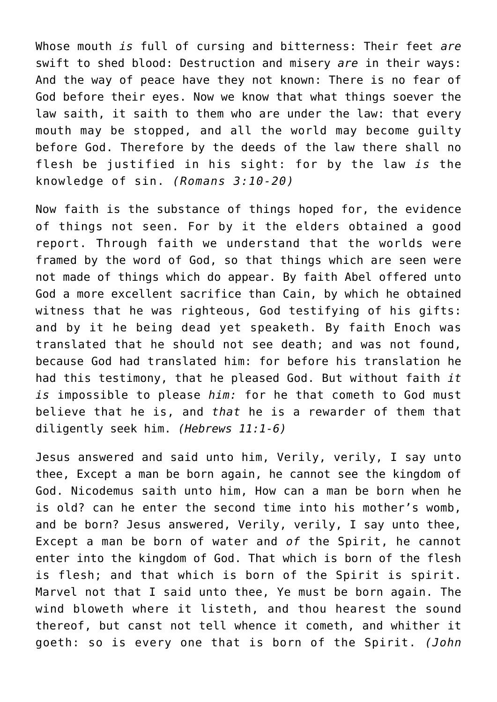Whose mouth *is* full of cursing and bitterness: Their feet *are* swift to shed blood: Destruction and misery *are* in their ways: And the way of peace have they not known: There is no fear of God before their eyes. Now we know that what things soever the law saith, it saith to them who are under the law: that every mouth may be stopped, and all the world may become guilty before God. Therefore by the deeds of the law there shall no flesh be justified in his sight: for by the law *is* the knowledge of sin. *(Romans 3:10-20)*

Now faith is the substance of things hoped for, the evidence of things not seen. For by it the elders obtained a good report. Through faith we understand that the worlds were framed by the word of God, so that things which are seen were not made of things which do appear. By faith Abel offered unto God a more excellent sacrifice than Cain, by which he obtained witness that he was righteous, God testifying of his gifts: and by it he being dead yet speaketh. By faith Enoch was translated that he should not see death; and was not found, because God had translated him: for before his translation he had this testimony, that he pleased God. But without faith *it is* impossible to please *him:* for he that cometh to God must believe that he is, and *that* he is a rewarder of them that diligently seek him. *(Hebrews 11:1-6)*

Jesus answered and said unto him, Verily, verily, I say unto thee, Except a man be born again, he cannot see the kingdom of God. Nicodemus saith unto him, How can a man be born when he is old? can he enter the second time into his mother's womb, and be born? Jesus answered, Verily, verily, I say unto thee, Except a man be born of water and *of* the Spirit, he cannot enter into the kingdom of God. That which is born of the flesh is flesh; and that which is born of the Spirit is spirit. Marvel not that I said unto thee, Ye must be born again. The wind bloweth where it listeth, and thou hearest the sound thereof, but canst not tell whence it cometh, and whither it goeth: so is every one that is born of the Spirit. *(John*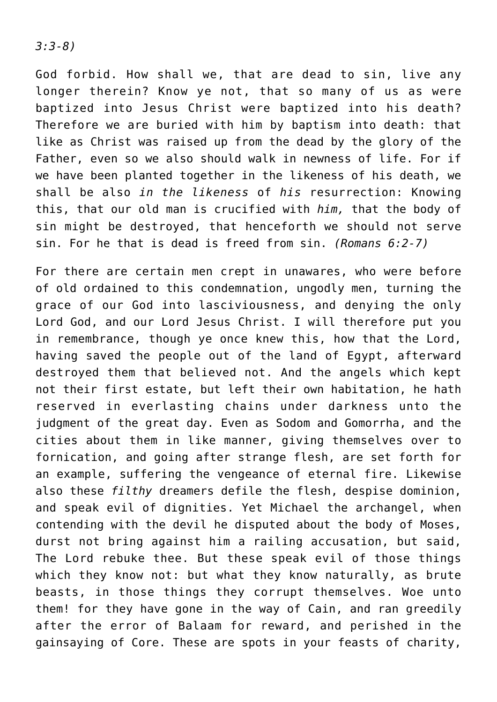*3:3-8)*

God forbid. How shall we, that are dead to sin, live any longer therein? Know ye not, that so many of us as were baptized into Jesus Christ were baptized into his death? Therefore we are buried with him by baptism into death: that like as Christ was raised up from the dead by the glory of the Father, even so we also should walk in newness of life. For if we have been planted together in the likeness of his death, we shall be also *in the likeness* of *his* resurrection: Knowing this, that our old man is crucified with *him,* that the body of sin might be destroyed, that henceforth we should not serve sin. For he that is dead is freed from sin. *(Romans 6:2-7)*

For there are certain men crept in unawares, who were before of old ordained to this condemnation, ungodly men, turning the grace of our God into lasciviousness, and denying the only Lord God, and our Lord Jesus Christ. I will therefore put you in remembrance, though ye once knew this, how that the Lord, having saved the people out of the land of Egypt, afterward destroyed them that believed not. And the angels which kept not their first estate, but left their own habitation, he hath reserved in everlasting chains under darkness unto the judgment of the great day. Even as Sodom and Gomorrha, and the cities about them in like manner, giving themselves over to fornication, and going after strange flesh, are set forth for an example, suffering the vengeance of eternal fire. Likewise also these *filthy* dreamers defile the flesh, despise dominion, and speak evil of dignities. Yet Michael the archangel, when contending with the devil he disputed about the body of Moses, durst not bring against him a railing accusation, but said, The Lord rebuke thee. But these speak evil of those things which they know not: but what they know naturally, as brute beasts, in those things they corrupt themselves. Woe unto them! for they have gone in the way of Cain, and ran greedily after the error of Balaam for reward, and perished in the gainsaying of Core. These are spots in your feasts of charity,